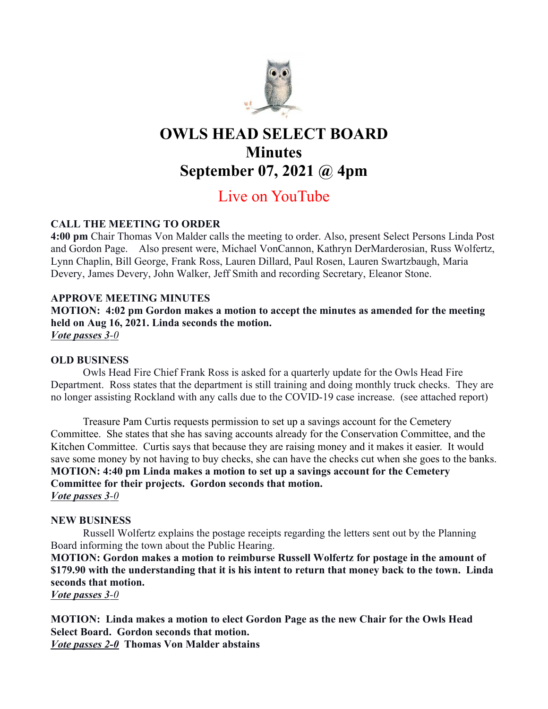

# OWLS HEAD SELECT BOARD **Minutes** September 07, 2021 @ 4pm

# Live on YouTube

# CALL THE MEETING TO ORDER

4:00 pm Chair Thomas Von Malder calls the meeting to order. Also, present Select Persons Linda Post and Gordon Page. Also present were, Michael VonCannon, Kathryn DerMarderosian, Russ Wolfertz, Lynn Chaplin, Bill George, Frank Ross, Lauren Dillard, Paul Rosen, Lauren Swartzbaugh, Maria Devery, James Devery, John Walker, Jeff Smith and recording Secretary, Eleanor Stone.

## APPROVE MEETING MINUTES

MOTION: 4:02 pm Gordon makes a motion to accept the minutes as amended for the meeting held on Aug 16, 2021. Linda seconds the motion. Vote passes 3-0

# OLD BUSINESS

Owls Head Fire Chief Frank Ross is asked for a quarterly update for the Owls Head Fire Department. Ross states that the department is still training and doing monthly truck checks. They are no longer assisting Rockland with any calls due to the COVID-19 case increase. (see attached report)

Treasure Pam Curtis requests permission to set up a savings account for the Cemetery Committee. She states that she has saving accounts already for the Conservation Committee, and the Kitchen Committee. Curtis says that because they are raising money and it makes it easier. It would save some money by not having to buy checks, she can have the checks cut when she goes to the banks. MOTION: 4:40 pm Linda makes a motion to set up a savings account for the Cemetery Committee for their projects. Gordon seconds that motion. Vote passes 3-0

## NEW BUSINESS

Russell Wolfertz explains the postage receipts regarding the letters sent out by the Planning Board informing the town about the Public Hearing.

MOTION: Gordon makes a motion to reimburse Russell Wolfertz for postage in the amount of \$179.90 with the understanding that it is his intent to return that money back to the town. Linda seconds that motion.

Vote passes 3-0

MOTION: Linda makes a motion to elect Gordon Page as the new Chair for the Owls Head Select Board. Gordon seconds that motion. **Vote passes 2-0** Thomas Von Malder abstains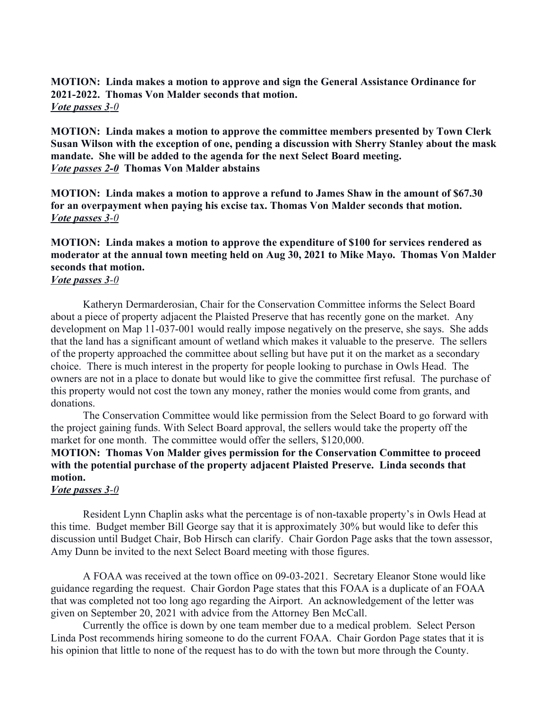MOTION: Linda makes a motion to approve and sign the General Assistance Ordinance for 2021-2022. Thomas Von Malder seconds that motion. *Vote passes*  $3-0$ 

MOTION: Linda makes a motion to approve the committee members presented by Town Clerk Susan Wilson with the exception of one, pending a discussion with Sherry Stanley about the mask mandate. She will be added to the agenda for the next Select Board meeting. Vote passes 2-0 Thomas Von Malder abstains

MOTION: Linda makes a motion to approve a refund to James Shaw in the amount of \$67.30 for an overpayment when paying his excise tax. Thomas Von Malder seconds that motion. Vote passes 3-0

## MOTION: Linda makes a motion to approve the expenditure of \$100 for services rendered as moderator at the annual town meeting held on Aug 30, 2021 to Mike Mayo. Thomas Von Malder seconds that motion.

#### Vote passes 3-0

Katheryn Dermarderosian, Chair for the Conservation Committee informs the Select Board about a piece of property adjacent the Plaisted Preserve that has recently gone on the market. Any development on Map 11-037-001 would really impose negatively on the preserve, she says. She adds that the land has a significant amount of wetland which makes it valuable to the preserve. The sellers of the property approached the committee about selling but have put it on the market as a secondary choice. There is much interest in the property for people looking to purchase in Owls Head. The owners are not in a place to donate but would like to give the committee first refusal. The purchase of this property would not cost the town any money, rather the monies would come from grants, and donations.

The Conservation Committee would like permission from the Select Board to go forward with the project gaining funds. With Select Board approval, the sellers would take the property off the market for one month. The committee would offer the sellers, \$120,000.

# MOTION: Thomas Von Malder gives permission for the Conservation Committee to proceed with the potential purchase of the property adjacent Plaisted Preserve. Linda seconds that motion.

#### Vote passes 3-0

Resident Lynn Chaplin asks what the percentage is of non-taxable property's in Owls Head at this time. Budget member Bill George say that it is approximately 30% but would like to defer this discussion until Budget Chair, Bob Hirsch can clarify. Chair Gordon Page asks that the town assessor, Amy Dunn be invited to the next Select Board meeting with those figures.

A FOAA was received at the town office on 09-03-2021. Secretary Eleanor Stone would like guidance regarding the request. Chair Gordon Page states that this FOAA is a duplicate of an FOAA that was completed not too long ago regarding the Airport. An acknowledgement of the letter was given on September 20, 2021 with advice from the Attorney Ben McCall.

Currently the office is down by one team member due to a medical problem. Select Person Linda Post recommends hiring someone to do the current FOAA. Chair Gordon Page states that it is his opinion that little to none of the request has to do with the town but more through the County.